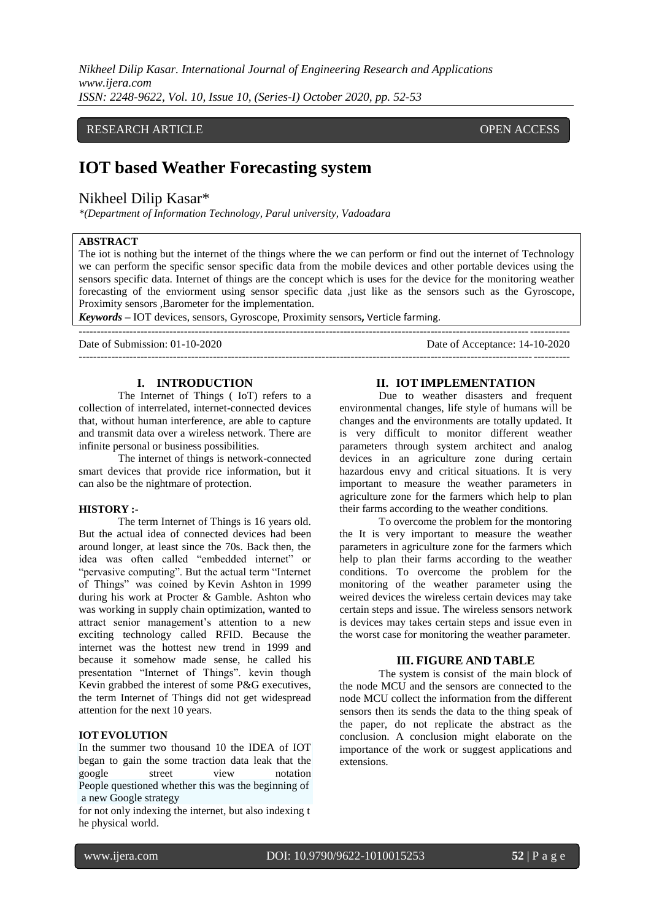*Nikheel Dilip Kasar. International Journal of Engineering Research and Applications www.ijera.com ISSN: 2248-9622, Vol. 10, Issue 10, (Series-I) October 2020, pp. 52-53*

# RESEARCH ARTICLE **CONSERVERS** OPEN ACCESS

# **IOT based Weather Forecasting system**

# Nikheel Dilip Kasar\*

*\*(Department of Information Technology, Parul university, Vadoadara*

#### **ABSTRACT**

The iot is nothing but the internet of the things where the we can perform or find out the internet of Technology we can perform the specific sensor specific data from the mobile devices and other portable devices using the sensors specific data. Internet of things are the concept which is uses for the device for the monitoring weather forecasting of the enviorment using sensor specific data ,just like as the sensors such as the Gyroscope, Proximity sensors ,Barometer for the implementation.

*Keywords* **–** IOT devices, sensors, Gyroscope, Proximity sensors**,** Verticle farming.

--------------------------------------------------------------------------------------------------------------------------------------- Date of Submission: 01-10-2020 Date of Acceptance: 14-10-2020 ---------------------------------------------------------------------------------------------------------------------------------------

#### **I. INTRODUCTION**

The Internet of Things ( IoT) refers to a collection of interrelated, internet-connected devices that, without human interference, are able to capture and transmit data over a wireless network. There are infinite personal or business possibilities.

The internet of things is network-connected smart devices that provide rice information, but it can also be the nightmare of protection.

#### **HISTORY :-**

The term Internet of Things is 16 years old. But the actual idea of connected devices had been around longer, at least since the 70s. Back then, the idea was often called "embedded internet" or "pervasive computing". But the actual term "Internet of Things" was coined by Kevin [Ashton](http://twitter.com/kevin_ashton) in 1999 during his work at Procter & Gamble. Ashton who was working in supply chain optimization, wanted to attract senior management's attention to a new exciting technology called RFID. Because the internet was the hottest new trend in 1999 and because it somehow made sense, he called his presentation "Internet of Things". kevin though Kevin grabbed the interest of some P&G executives, the term Internet of Things did not get widespread attention for the next 10 years.

### **IOT EVOLUTION**

In the summer two thousand 10 the IDEA of IOT began to gain the some traction data leak that the google street view notation People questioned whether this was the beginning of a new Google strategy

for not only indexing the internet, but also indexing t he physical world.

#### **II. IOT IMPLEMENTATION**

Due to weather disasters and frequent environmental changes, life style of humans will be changes and the environments are totally updated. It is very difficult to monitor different weather parameters through system architect and analog devices in an agriculture zone during certain hazardous envy and critical situations. It is very important to measure the weather parameters in agriculture zone for the farmers which help to plan their farms according to the weather conditions.

To overcome the problem for the montoring the It is very important to measure the weather parameters in agriculture zone for the farmers which help to plan their farms according to the weather conditions. To overcome the problem for the monitoring of the weather parameter using the weired devices the wireless certain devices may take certain steps and issue. The wireless sensors network is devices may takes certain steps and issue even in the worst case for monitoring the weather parameter.

#### **III. FIGURE AND TABLE**

The system is consist of the main block of the node MCU and the sensors are connected to the node MCU collect the information from the different sensors then its sends the data to the thing speak of the paper, do not replicate the abstract as the conclusion. A conclusion might elaborate on the importance of the work or suggest applications and extensions.